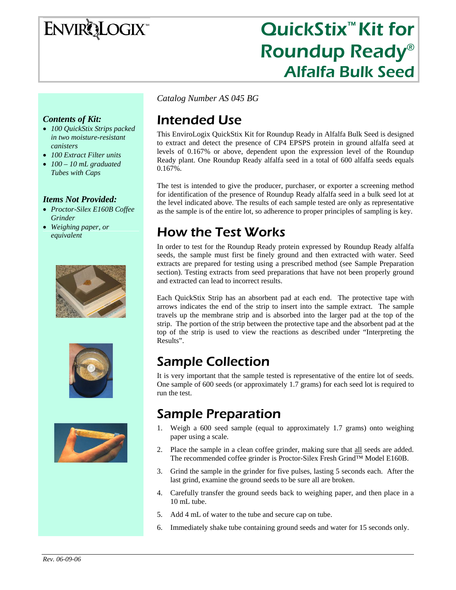# **ENVIRQLOGIX**

## QuickStix<sup>™</sup> Kit for Roundup Ready® Alfalfa Bulk Seed

*Catalog Number AS 045 BG* 

## Intended Use

This EnviroLogix QuickStix Kit for Roundup Ready in Alfalfa Bulk Seed is designed to extract and detect the presence of CP4 EPSPS protein in ground alfalfa seed at levels of 0.167% or above, dependent upon the expression level of the Roundup Ready plant. One Roundup Ready alfalfa seed in a total of 600 alfalfa seeds equals 0.167%.

The test is intended to give the producer, purchaser, or exporter a screening method for identification of the presence of Roundup Ready alfalfa seed in a bulk seed lot at the level indicated above. The results of each sample tested are only as representative as the sample is of the entire lot, so adherence to proper principles of sampling is key.

### How the Test Works

In order to test for the Roundup Ready protein expressed by Roundup Ready alfalfa seeds, the sample must first be finely ground and then extracted with water. Seed extracts are prepared for testing using a prescribed method (see Sample Preparation section). Testing extracts from seed preparations that have not been properly ground and extracted can lead to incorrect results.

Each QuickStix Strip has an absorbent pad at each end. The protective tape with arrows indicates the end of the strip to insert into the sample extract. The sample travels up the membrane strip and is absorbed into the larger pad at the top of the strip. The portion of the strip between the protective tape and the absorbent pad at the top of the strip is used to view the reactions as described under "Interpreting the Results".

### Sample Collection

It is very important that the sample tested is representative of the entire lot of seeds. One sample of 600 seeds (or approximately 1.7 grams) for each seed lot is required to run the test.

### Sample Preparation

- 1. Weigh a 600 seed sample (equal to approximately 1.7 grams) onto weighing paper using a scale.
- 2. Place the sample in a clean coffee grinder, making sure that all seeds are added. The recommended coffee grinder is Proctor-Silex Fresh Grind™ Model E160B.
- 3. Grind the sample in the grinder for five pulses, lasting 5 seconds each. After the last grind, examine the ground seeds to be sure all are broken.
- 4. Carefully transfer the ground seeds back to weighing paper, and then place in a 10 mL tube.
- 5. Add 4 mL of water to the tube and secure cap on tube.
- 6. Immediately shake tube containing ground seeds and water for 15 seconds only.

#### *Contents of Kit:*

- *100 QuickStix Strips packed in two moisture-resistant canisters*
- *100 Extract Filter units*
- *100 10 mL graduated Tubes with Caps*

#### *Items Not Provided:*

- *Proctor-Silex E160B Coffee Grinder*
- *Weighing paper, or equivalent*





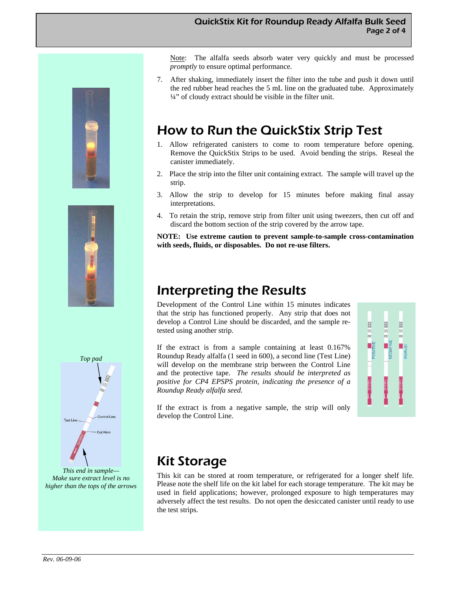





*This end in sample— Make sure extract level is no higher than the tops of the arrows*  Note: The alfalfa seeds absorb water very quickly and must be processed *promptly* to ensure optimal performance.

7. After shaking, immediately insert the filter into the tube and push it down until the red rubber head reaches the 5 mL line on the graduated tube. Approximately ¼" of cloudy extract should be visible in the filter unit.

### How to Run the QuickStix Strip Test

- 1. Allow refrigerated canisters to come to room temperature before opening. Remove the QuickStix Strips to be used. Avoid bending the strips. Reseal the canister immediately.
- 2. Place the strip into the filter unit containing extract. The sample will travel up the strip.
- 3. Allow the strip to develop for 15 minutes before making final assay interpretations.
- 4. To retain the strip, remove strip from filter unit using tweezers, then cut off and discard the bottom section of the strip covered by the arrow tape.

**NOTE: Use extreme caution to prevent sample-to-sample cross-contamination with seeds, fluids, or disposables. Do not re-use filters.** 

### Interpreting the Results

Development of the Control Line within 15 minutes indicates that the strip has functioned properly. Any strip that does not develop a Control Line should be discarded, and the sample retested using another strip.

If the extract is from a sample containing at least 0.167% Roundup Ready alfalfa (1 seed in 600), a second line (Test Line) will develop on the membrane strip between the Control Line and the protective tape. *The results should be interpreted as positive for CP4 EPSPS protein, indicating the presence of a Roundup Ready alfalfa seed.* 



If the extract is from a negative sample, the strip will only develop the Control Line.

### Kit Storage

This kit can be stored at room temperature, or refrigerated for a longer shelf life. Please note the shelf life on the kit label for each storage temperature. The kit may be used in field applications; however, prolonged exposure to high temperatures may adversely affect the test results. Do not open the desiccated canister until ready to use the test strips.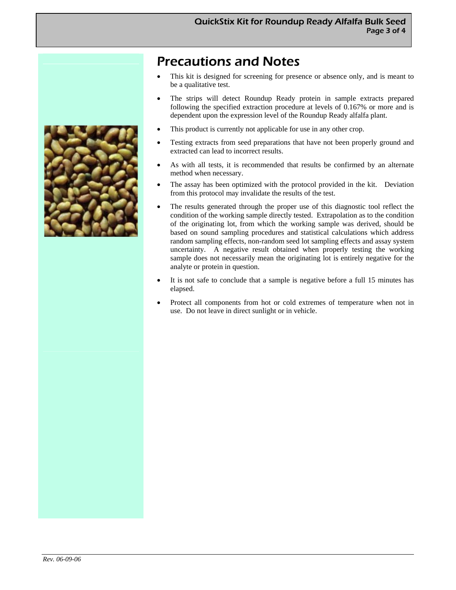### Precautions and Notes

- This kit is designed for screening for presence or absence only, and is meant to be a qualitative test.
- The strips will detect Roundup Ready protein in sample extracts prepared following the specified extraction procedure at levels of 0.167% or more and is dependent upon the expression level of the Roundup Ready alfalfa plant.
- This product is currently not applicable for use in any other crop.
- Testing extracts from seed preparations that have not been properly ground and extracted can lead to incorrect results.
- As with all tests, it is recommended that results be confirmed by an alternate method when necessary.
- The assay has been optimized with the protocol provided in the kit. Deviation from this protocol may invalidate the results of the test.
- The results generated through the proper use of this diagnostic tool reflect the condition of the working sample directly tested. Extrapolation as to the condition of the originating lot, from which the working sample was derived, should be based on sound sampling procedures and statistical calculations which address random sampling effects, non-random seed lot sampling effects and assay system uncertainty. A negative result obtained when properly testing the working sample does not necessarily mean the originating lot is entirely negative for the analyte or protein in question.
- It is not safe to conclude that a sample is negative before a full 15 minutes has elapsed.
- Protect all components from hot or cold extremes of temperature when not in use. Do not leave in direct sunlight or in vehicle.